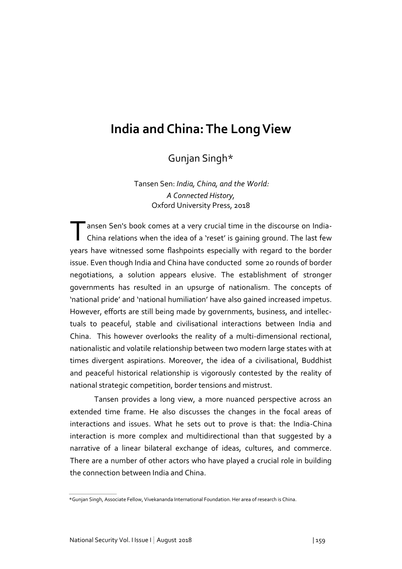## **India and China: The Long View**

Gunjan Singh\*

Tansen Sen: *India, China, and the World: A Connected History,* Oxford University Press, 2018

The ansen Sen's book comes at a very crucial time in the discourse on India-<br>China relations when the idea of a 'reset' is gaining ground. The last few China relations when the idea of a 'reset' is gaining ground. The last few years have witnessed some flashpoints especially with regard to the border issue. Even though India and China have conducted some 20 rounds of border negotiations, a solution appears elusive. The establishment of stronger governments has resulted in an upsurge of nationalism. The concepts of 'national pride' and 'national humiliation' have also gained increased impetus. However, efforts are still being made by governments, business, and intellectuals to peaceful, stable and civilisational interactions between India and China. This however overlooks the reality of a multi-dimensional rectional, nationalistic and volatile relationship between two modern large states with at times divergent aspirations. Moreover, the idea of a civilisational, Buddhist and peaceful historical relationship is vigorously contested by the reality of national strategic competition, border tensions and mistrust.

Tansen provides a long view, a more nuanced perspective across an extended time frame. He also discusses the changes in the focal areas of interactions and issues. What he sets out to prove is that: the India-China interaction is more complex and multidirectional than that suggested by a narrative of a linear bilateral exchange of ideas, cultures, and commerce. There are a number of other actors who have played a crucial role in building the connection between India and China.

<sup>\*</sup>Gunjan Singh, Associate Fellow, Vivekananda International Foundation. Her area of research is China.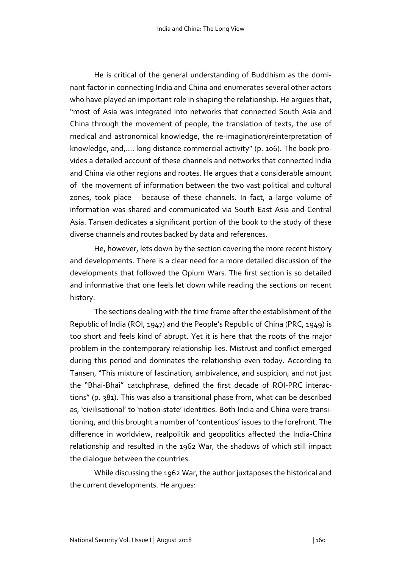He is critical of the general understanding of Buddhism as the dominant factor in connecting India and China and enumerates several other actors who have played an important role in shaping the relationship. He argues that, "most of Asia was integrated into networks that connected South Asia and China through the movement of people, the translation of texts, the use of medical and astronomical knowledge, the re-imagination/reinterpretation of knowledge, and,…. long distance commercial activity" (p. 106). The book provides a detailed account of these channels and networks that connected India and China via other regions and routes. He argues that a considerable amount of the movement of information between the two vast political and cultural zones, took place because of these channels. In fact, a large volume of information was shared and communicated via South East Asia and Central Asia. Tansen dedicates a significant portion of the book to the study of these diverse channels and routes backed by data and references.

He, however, lets down by the section covering the more recent history and developments. There is a clear need for a more detailed discussion of the developments that followed the Opium Wars. The first section is so detailed and informative that one feels let down while reading the sections on recent history.

The sections dealing with the time frame after the establishment of the Republic of India (ROI, 1947) and the People's Republic of China (PRC, 1949) is too short and feels kind of abrupt. Yet it is here that the roots of the major problem in the contemporary relationship lies. Mistrust and conflict emerged during this period and dominates the relationship even today. According to Tansen, "This mixture of fascination, ambivalence, and suspicion, and not just the "Bhai-Bhai" catchphrase, defined the first decade of ROI-PRC interactions" (p. 381). This was also a transitional phase from, what can be described as, 'civilisational' to 'nation-state' identities. Both India and China were transitioning, and this brought a number of 'contentious' issues to the forefront. The difference in worldview, realpolitik and geopolitics affected the India-China relationship and resulted in the 1962 War, the shadows of which still impact the dialogue between the countries.

While discussing the 1962 War, the author juxtaposes the historical and the current developments. He argues: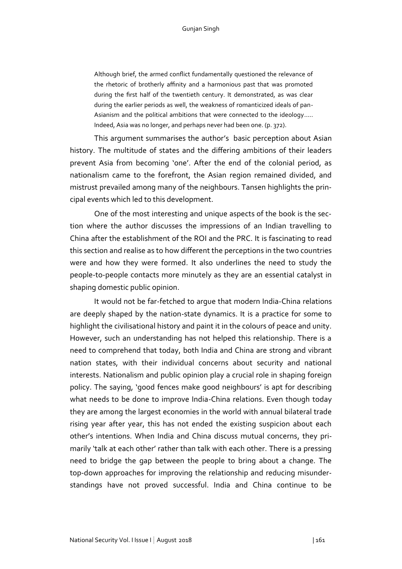Although brief, the armed conflict fundamentally questioned the relevance of the rhetoric of brotherly affinity and a harmonious past that was promoted during the first half of the twentieth century. It demonstrated, as was clear during the earlier periods as well, the weakness of romanticized ideals of pan-Asianism and the political ambitions that were connected to the ideology….. Indeed, Asia was no longer, and perhaps never had been one. (p. 372).

This argument summarises the author's basic perception about Asian history. The multitude of states and the differing ambitions of their leaders prevent Asia from becoming 'one'. After the end of the colonial period, as nationalism came to the forefront, the Asian region remained divided, and mistrust prevailed among many of the neighbours. Tansen highlights the principal events which led to this development.

One of the most interesting and unique aspects of the book is the section where the author discusses the impressions of an Indian travelling to China after the establishment of the ROI and the PRC. It is fascinating to read this section and realise as to how different the perceptions in the two countries were and how they were formed. It also underlines the need to study the people-to-people contacts more minutely as they are an essential catalyst in shaping domestic public opinion.

It would not be far-fetched to argue that modern India-China relations are deeply shaped by the nation-state dynamics. It is a practice for some to highlight the civilisational history and paint it in the colours of peace and unity. However, such an understanding has not helped this relationship. There is a need to comprehend that today, both India and China are strong and vibrant nation states, with their individual concerns about security and national interests. Nationalism and public opinion play a crucial role in shaping foreign policy. The saying, 'good fences make good neighbours' is apt for describing what needs to be done to improve India-China relations. Even though today they are among the largest economies in the world with annual bilateral trade rising year after year, this has not ended the existing suspicion about each other's intentions. When India and China discuss mutual concerns, they primarily 'talk at each other' rather than talk with each other. There is a pressing need to bridge the gap between the people to bring about a change. The top-down approaches for improving the relationship and reducing misunderstandings have not proved successful. India and China continue to be